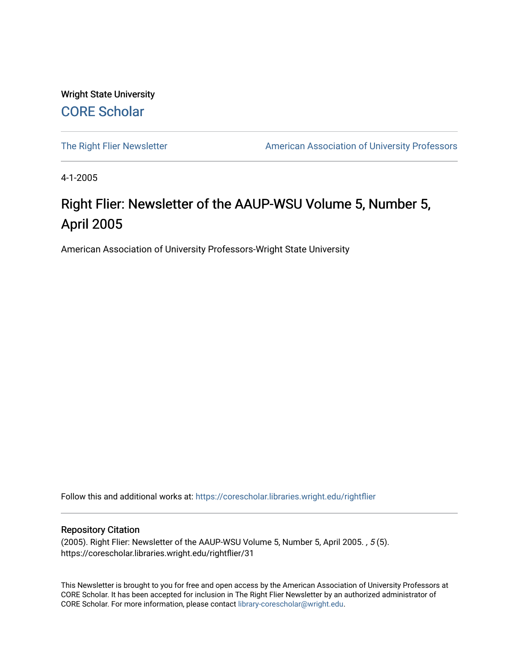Wright State University [CORE Scholar](https://corescholar.libraries.wright.edu/)

[The Right Flier Newsletter](https://corescholar.libraries.wright.edu/rightflier) **American Association of University Professors** 

4-1-2005

# Right Flier: Newsletter of the AAUP-WSU Volume 5, Number 5, April 2005

American Association of University Professors-Wright State University

Follow this and additional works at: [https://corescholar.libraries.wright.edu/rightflier](https://corescholar.libraries.wright.edu/rightflier?utm_source=corescholar.libraries.wright.edu%2Frightflier%2F31&utm_medium=PDF&utm_campaign=PDFCoverPages) 

#### Repository Citation

(2005). Right Flier: Newsletter of the AAUP-WSU Volume 5, Number 5, April 2005. , 5 (5). https://corescholar.libraries.wright.edu/rightflier/31

This Newsletter is brought to you for free and open access by the American Association of University Professors at CORE Scholar. It has been accepted for inclusion in The Right Flier Newsletter by an authorized administrator of CORE Scholar. For more information, please contact [library-corescholar@wright.edu](mailto:library-corescholar@wright.edu).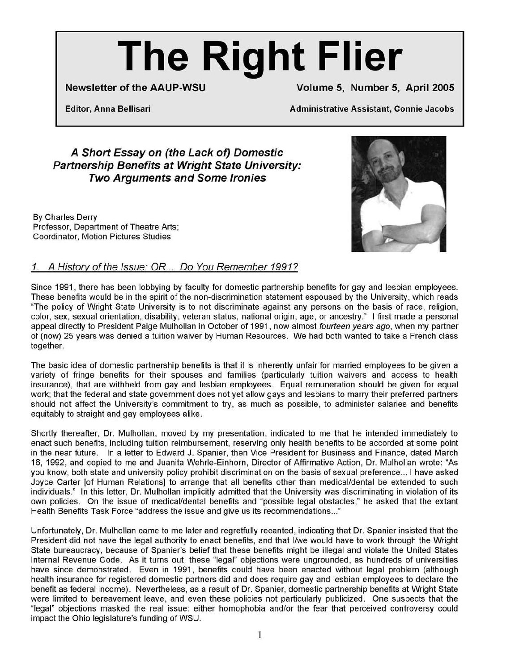# **The Right Flier**

**Newsletter of the AAUP-WSU Volume 5, Number 5, April 2005** 

**Editor, Anna Bellisari Administrative Assistant, Connie Jacobs** 

# **A Short Essay on (the Lack of) Domestic Partnership Benefits at Wright State University: Two Arguments and Some Ironies**

By Charles Derry Professor, Department of Theatre Arts; Coordinator, Motion Pictures Studies



### 1. A History of the Issue: OR... Do You Remember 1991?

Since 1991, there has been lobbying by faculty for domestic partnership benefits for gay and lesbian employees. These benefits would be **in** the spirit of the non-discrimination statement espoused by the University, which reads "The policy of Wright State University is to not discriminate against any persons on the basis of race, religion, color, sex, sexual orientation, disability, veteran status, national origin, age, or ancestry." I first made a personal appeal directly to President Paige Mulhollan **in** October of 1991, now almost fourteen years ago, when my partner of (now) 25 years was denied a tuition waiver by Human Resources. We had both wanted to take a French class together.

The basic idea of domestic partnership benefits is that **it** is inherently unfair for married employees to be given a variety of fringe benefits for their spouses and families (particularly tuition waivers and access to health insurance), that are withheld from gay and lesbian employees. Equal remuneration should be given for equal work; that the federal and state government does not yet allow gays and lesbians to marry their preferred partners should not affect the University's commitment to try, as much as possible, to administer salaries and benefits equitably to straight and gay employees alike.

Shortly thereafter, Dr. Mulhollan, moved by my presentation, indicated to me that he intended immediately to enact such benefits, including tuition reimbursement, reserving only health benefits to be accorded at some point **in** the near future. In a letter to Edward J. Spanier, then Vice President for Business and Finance, dated March 16, 1992, and copied to me and Juanita Wehrle-Einhorn, Director of Affirmative Action, Dr. Mulhollan wrote: "As you know, both state and university policy prohibit discrimination on the basis of sexual preference ... I have asked Joyce Carter [of Human Relations] to arrange that all benefits other than medical/dental be extended to such individuals." In this letter, Dr. Mulhollan implicitly admitted that the University was discriminating **in** violation of its own policies. On the issue of medical/dental benefits and "possible legal obstacles," he asked that the extant Health Benefits Task Force "address the issue and give us its recommendations ..."

Unfortunately, Dr. Mulhollan came to me later and regretfully recanted, indicating that Dr. Spanier insisted that the President did not have the legal authority to enact benefits, and that I/we would have to work through the Wright State bureaucracy, because of Spanier's belief that these benefits might be illegal and violate the United States Internal Revenue Code. As **it** turns out, these "legal" objections were ungrounded, as hundreds of universities have since demonstrated. Even **in** 1991, benefits could have been enacted without legal problem (although health insurance for registered domestic partners did and does require gay and lesbian employees to declare the benefit as federal income). Nevertheless, as a result of Dr. Spanier, domestic partnership benefits at Wright State were limited to bereavement leave, and even these policies not particularly publicized. One suspects that the "legal" objections masked the real issue: either homophobia and/or the fear that perceived controversy could impact the Ohio legislature's funding of WSU.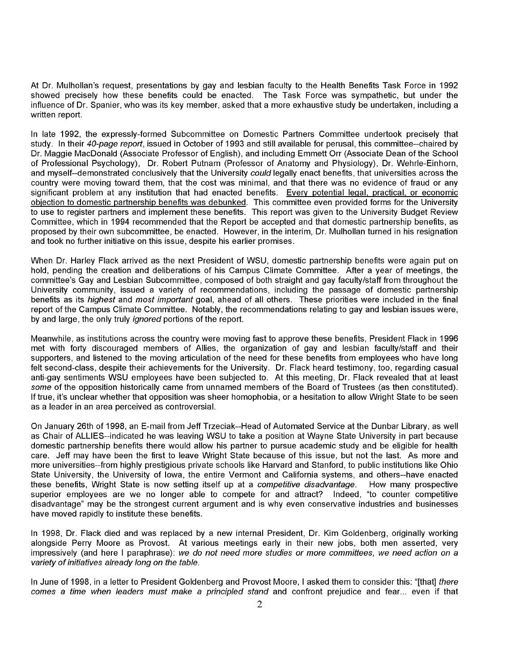At Dr. Mulhollan's request, presentations by gay and lesbian faculty to the Health Benefits Task Force in 1992 showed precisely how these benefits could be enacted. The Task Force was sympathetic, but under the influence of Dr. Spanier, who was its key member, asked that a more exhaustive study be undertaken, including a written report.

In late 1992, the expressly-formed Subcommittee on Domestic Partners Committee undertook precisely that study. In their 40-page report, issued in October of 1993 and still available for perusal, this committee--chaired by Dr. Maggie MacDonald (Associate Professor of English), and including Emmett Orr (Associate Dean of the School of Professional Psychology), Dr. Robert Putnam (Professor of Anatomy and Physiology), Dr. Wehrle-Einhorn, and myself--demonstrated conclusively that the University could legally enact benefits, that universities across the country were moving toward them, that the cost was minimal, and that there was no evidence of fraud or any significant problem at any institution that had enacted benefits. Every potential legal, practical, or economic objection to domestic partnership benefits was debunked. This committee even provided forms for the University to use to register partners and implement these benefits. This report was given to the University Budget Review Committee, which in 1994 recommended that the Report be accepted and that domestic partnership benefits, as proposed by their own subcommittee, be enacted. However, in the interim, Dr. Mulhollan turned in his resignation and took no further initiative on this issue, despite his earlier promises.

When Dr. Harley Flack arrived as the next President of WSU, domestic partnership benefits were again put on hold, pending the creation and deliberations of his Campus Climate Committee. After a year of meetings, the committee's Gay and Lesbian Subcommittee, composed of both straight and gay faculty/staff from throughout the University community, issued a variety of recommendations, including the passage of domestic partnership benefits as its *highest* and *most important* goal, ahead of all others. These priorities were included in the final report of the Campus Climate Committee. Notably, the recommendations relating to gay and lesbian issues were, by and large, the only truly ignored portions of the report.

Meanwhile, as institutions across the country were moving fast to approve these benefits, President Flack in 1996 met with forty discouraged members of Allies, the organization of gay and lesbian faculty/staff and their supporters, and listened to the moving articulation of the need for these benefits from employees who have long felt second-class, despite their achievements for the University. Dr. Flack heard testimony, too, regarding casual anti-gay sentiments WSU employees have been subjected to. At this meeting, Dr. Flack revealed that at least some of the opposition historically came from unnamed members of the Board of Trustees (as then constituted). If true, it's unclear whether that opposition was sheer homophobia, or a hesitation to allow Wright State to be seen as a leader in an area perceived as controversial.

On January 26th of 1998, an E-mail from Jeff Trzeciak--Head of Automated Service at the Dunbar Library, as well as Chair of ALLlES--indicated he was leaving WSU to take a position at Wayne State University in part because domestic partnership benefits there would allow his partner to pursue academic study and be eligible for health care. Jeff may have been the first to leave Wright State because of this issue, but not the last. As more and more universities--from highly prestigious private schools like Harvard and Stanford, to public institutions like Ohio State University, the University of Iowa, the entire Vermont and California systems, and others--have enacted these benefits, Wright State is now setting itself up at a competitive disadvantage. How many prospective superior employees are we no longer able to compete for and attract? Indeed, "to counter competitive disadvantage" may be the strongest current argument and is why even conservative industries and businesses have moved rapidly to institute these benefits.

In 1998, Dr. Flack died and was replaced by a new internal President, Dr. Kim Goldenberg, originally working alongside Perry Moore as Provost. At various meetings early in their new jobs, both men asserted, very impressively (and here I paraphrase): we do not need more studies or more committees, we need action on a variety of initiatives already long on the table.

In June of 1998, in a letter to President Goldenberg and Provost Moore, I asked them to consider this: "[that] there comes a time when leaders must make a principled stand and confront prejudice and fear... even if that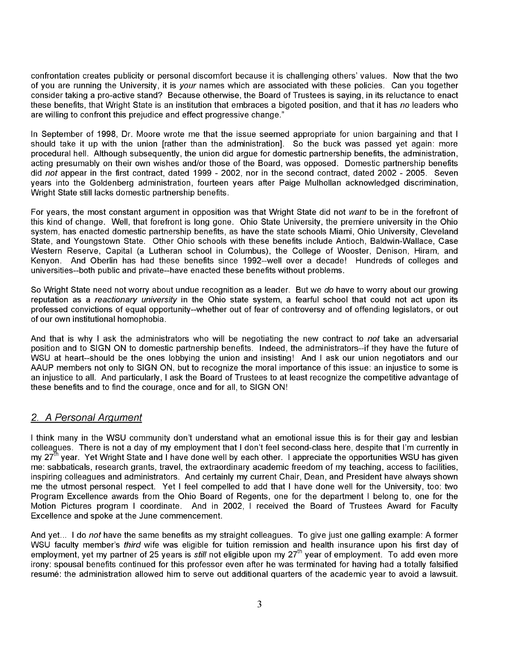confrontation creates publicity or personal discomfort because it is challenging others' values. Now that the two of you are running the University, it is your names which are associated with these policies. Can you together consider taking a pro-active stand? Because otherwise, the Board of Trustees is saying, in its reluctance to enact these benefits, that Wright State is an institution that embraces a bigoted position, and that it has no leaders who are willing to confront this prejudice and effect progressive change."

In September of 1998, Dr. Moore wrote me that the issue seemed appropriate for union bargaining and that I should take it up with the union [rather than the administration]. So the buck was passed yet again: more procedural hell. Although subsequently, the union did argue for domestic partnership benefits, the administration, acting presumably on their own wishes and/or those of the Board, was opposed. Domestic partnership benefits did not appear in the first contract, dated 1999 - 2002, nor in the second contract, dated 2002 - 2005. Seven years into the Goldenberg administration, fourteen years after Paige Mulhollan acknowledged discrimination, Wright State still lacks domestic partnership benefits.

For years, the most constant argument in opposition was that Wright State did not want to be in the forefront of this kind of change. Well, that forefront is long gone. Ohio State University, the premiere university in the Ohio system, has enacted domestic partnership benefits, as have the state schools Miami, Ohio University, Cleveland State, and Youngstown State. Other Ohio schools with these benefits include Antioch, Baldwin-Wallace, Case Western Reserve, Capital (a Lutheran school in Columbus), the College of Wooster, Denison, Hiram, and Kenyon. And Oberlin has had these benefits since 1992--well over a decade! Hundreds of colleges and universities--both public and private--have enacted these benefits without problems.

So Wright State need not worry about undue recognition as a leader. But we do have to worry about our growing reputation as a reactionary university in the Ohio state system, a fearful school that could not act upon its professed convictions of equal opportunity--whether out of fear of controversy and of offending legislators, or out of our own institutional homophobia.

And that is why I ask the administrators who will be negotiating the new contract to not take an adversarial position and to SIGN ON to domestic partnership benefits. Indeed, the administrators--if they have the future of WSU at heart--should be the ones lobbying the union and insisting! And I ask our union negotiators and our AAUP members not only to SIGN ON, but to recognize the moral importance of this issue: an injustice to some is an injustice to all. And particularly, I ask the Board of Trustees to at least recognize the competitive advantage of these benefits and to find the courage, once and for all, to SIGN ON!

#### 2. A Personal Argument

I think many in the WSU community don't understand what an emotional issue this is for their gay and lesbian colleagues. There is not a day of my employment that I don't feel second-class here, despite that I'm currently in my 27<sup>th</sup> year. Yet Wright State and I have done well by each other. I appreciate the opportunities WSU has given me: sabbaticals, research grants, travel, the extraordinary academic freedom of my teaching, access to facilities, inspiring colleagues and administrators. And certainly my current Chair, Dean, and President have always shown me the utmost personal respect. Yet I feel compelled to add that I have done well for the University, too: two Program Excellence awards from the Ohio Board of Regents, one for the department I belong to, one for the Motion Pictures program I coordinate. And in 2002, I received the Board of Trustees Award for Faculty Excellence and spoke at the June commencement.

And yet... I do not have the same benefits as my straight colleagues. To give just one galling example: A former WSU faculty member's third wife was eligible for tuition remission and health insurance upon his first day of employment, yet my partner of 25 years is *still* not eligible upon my 27<sup>th</sup> year of employment. To add even more irony: spousal benefits continued for this professor even after he was terminated for having had a totally falsified resume: the administration allowed him to serve out additional quarters of the academic year to avoid a lawsuit.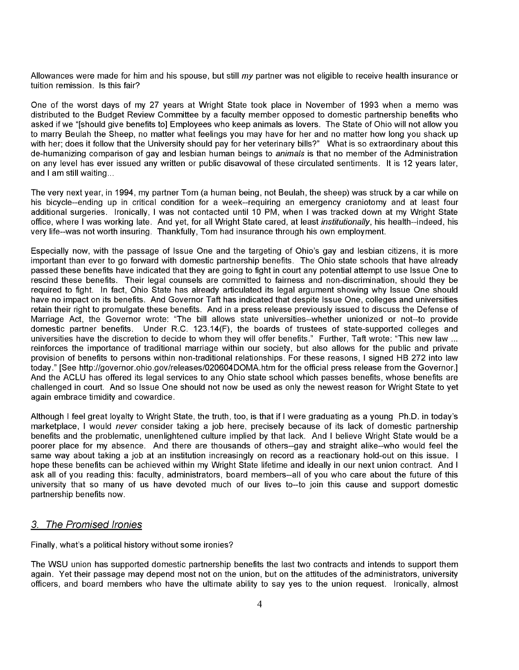Allowances were made for him and his spouse, but still my partner was not eligible to receive health insurance or tuition remission. Is this fair?

One of the worst days of my 27 years at Wright State took place in November of 1993 when a memo was distributed to the Budget Review Committee by a faculty member opposed to domestic partnership benefits who asked if we "[should give benefits to] Employees who keep animals as lovers. The State of Ohio will not allow you to marry Beulah the Sheep, no matter what feelings you may have for her and no matter how long you shack up with her; does it follow that the University should pay for her veterinary bills?" What is so extraordinary about this de-humanizing comparison of gay and lesbian human beings to animals is that no member of the Administration on any level has ever issued any written or public disavowal of these circulated sentiments. It is 12 years later, and I am still waiting...

The very next year, in 1994, my partner Tom (a human being, not Beulah, the sheep) was struck by a car while on his bicycle--ending up in critical condition for a week--requiring an emergency craniotomy and at least four additional surgeries. Ironically, I was not contacted until 10 PM, when I was tracked down at my Wright State office, where I was working late. And yet, for all Wright State cared, at least *institutionally*, his health--indeed, his very life--was not worth insuring. Thankfully, Tom had insurance through his own employment.

Especially now, with the passage of Issue One and the targeting of Ohio's gay and lesbian citizens, it is more important than ever to go forward with domestic partnership benefits. The Ohio state schools that have already passed these benefits have indicated that they are going to fight in court any potential attempt to use Issue One to rescind these benefits. Their legal counsels are committed to fairness and non-discrimination, should they be required to fight. In fact, Ohio State has already articulated its legal argument showing why Issue One should have no impact on its benefits. And Governor Taft has indicated that despite Issue One, colleges and universities retain their right to promulgate these benefits. And in a press release previously issued to discuss the Defense of Marriage Act, the Governor wrote: "The bill allows state universities--whether unionized or not--to provide domestic partner benefits. Under R.C. 123.14(F), the boards of trustees of state-supported colleges and universities have the discretion to decide to whom they will offer benefits." Further, Taft wrote: "This new law ... reinforces the importance of traditional marriage within our society, but also allows for the public and private provision of benefits to persons within non-traditional relationships. For these reasons, I signed HB 272 into law today." [See http://governor.ohio.gov/releases/020604DOMA.htm for the official press release from the Governor.] And the ACLU has offered its legal services to any Ohio state school which passes benefits, whose benefits are challenged in court. And so Issue One should not now be used as only the newest reason for Wright State to yet again embrace timidity and cowardice.

Although I feel great loyalty to Wright State, the truth, too, is that if I were graduating as a young PhD. in today's marketplace, I would *never* consider taking a job here, precisely because of its lack of domestic partnership benefits and the problematic, unenlightened culture implied by that lack. And I believe Wright State would be a poorer place for my absence. And there are thousands of others--gay and straight alike--who would feel the same way about taking a job at an institution increasingly on record as a reactionary hold-out on this issue. I hope these benefits can be achieved within my Wright State lifetime and ideally in our next union contract. And I ask all of you reading this: faculty, administrators, board members--all of you who care about the future of this university that so many of us have devoted much of our lives to--to join this cause and support domestic partnership benefits now.

#### 3. The Promised Ironies

Finally, what's a political history without some ironies?

The WSU union has supported domestic partnership benefits the last two contracts and intends to support them again. Yet their passage may depend most not on the union, but on the attitudes of the administrators, university officers, and board members who have the ultimate ability to say yes to the union request. Ironically, almost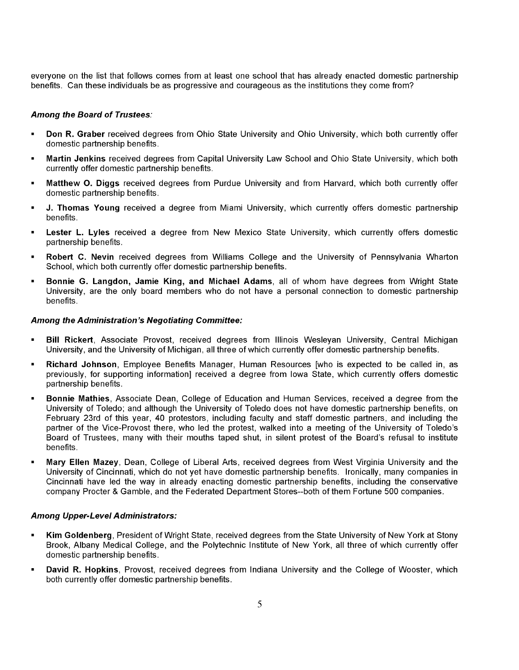everyone on the list that follows comes from at least one school that has already enacted domestic partnership benefits. Can these individuals be as progressive and courageous as the institutions they come from?

#### Among the Board of Trustees:

- **Don R. Graber** received degrees from Ohio State University and Ohio University, which both currently offer domestic partnership benefits.
- Martin Jenkins received degrees from Capital University Law School and Ohio State University, which both currently offer domestic partnership benefits.
- Matthew O. Diggs received degrees from Purdue University and from Harvard, which both currently offer domestic partnership benefits.
- **J. Thomas Young** received a degree from Miami University, which currently offers domestic partnership benefits.
- **Lester L. Lyles** received a degree from New Mexico State University, which currently offers domestic partnership benefits.
- **Robert C. Nevin** received degrees from Williams College and the University of Pennsylvania Wharton School, which both currently offer domestic partnership benefits.
- **Bonnie G. Langdon, Jamie King, and Michael Adams**, all of whom have degrees from Wright State University, are the only board members who do not have a personal connection to domestic partnership benefits.

#### Among the Administration's Negotiating Committee:

- **Bill Rickert**, Associate Provost, received degrees from Illinois Wesleyan University, Central Michigan University, and the University of Michigan, all three of which currently offer domestic partnership benefits.
- **Richard Johnson**, Employee Benefits Manager, Human Resources [who is expected to be called in, as previously, for supporting information] received a degree from Iowa State, which currently offers domestic partnership benefits.
- **Bonnie Mathies, Associate Dean, College of Education and Human Services, received a degree from the** University of Toledo; and although the University of Toledo does not have domestic partnership benefits, on February 23rd of this year, 40 protestors, including faculty and staff domestic partners, and including the partner of the Vice-Provost there, who led the protest, walked into a meeting of the University of Toledo's Board of Trustees, many with their mouths taped shut, in silent protest of the Board's refusal to institute benefits.
- Mary Ellen Mazey, Dean, College of Liberal Arts, received degrees from West Virginia University and the University of Cincinnati, which do not yet have domestic partnership benefits. Ironically, many companies in Cincinnati have led the way in already enacting domestic partnership benefits, including the conservative company Procter & Gamble, and the Federated Department Stores--both of them Fortune 500 companies.

#### Among Upper-Level Administrators:

- Kim Goldenberg, President of Wright State, received degrees from the State University of New York at Stony Brook, Albany Medical College, and the Polytechnic Institute of New York, all three of which currently offer domestic partnership benefits.
- **David R. Hopkins**, Provost, received degrees from Indiana University and the College of Wooster, which both currently offer domestic partnership benefits.